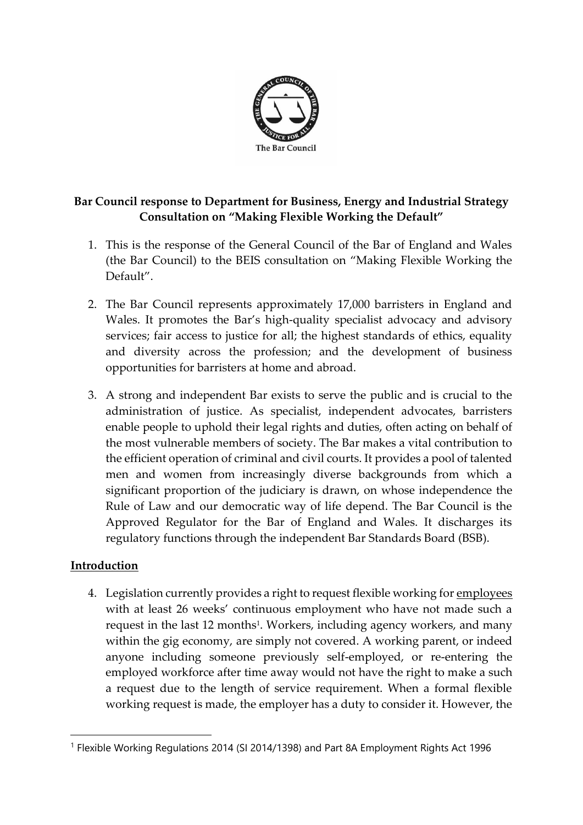

# **Bar Council response to Department for Business, Energy and Industrial Strategy Consultation on "Making Flexible Working the Default"**

- 1. This is the response of the General Council of the Bar of England and Wales (the Bar Council) to the BEIS consultation on "Making Flexible Working the Default".
- 2. The Bar Council represents approximately 17,000 barristers in England and Wales. It promotes the Bar's high-quality specialist advocacy and advisory services; fair access to justice for all; the highest standards of ethics, equality and diversity across the profession; and the development of business opportunities for barristers at home and abroad.
- 3. A strong and independent Bar exists to serve the public and is crucial to the administration of justice. As specialist, independent advocates, barristers enable people to uphold their legal rights and duties, often acting on behalf of the most vulnerable members of society. The Bar makes a vital contribution to the efficient operation of criminal and civil courts. It provides a pool of talented men and women from increasingly diverse backgrounds from which a significant proportion of the judiciary is drawn, on whose independence the Rule of Law and our democratic way of life depend. The Bar Council is the Approved Regulator for the Bar of England and Wales. It discharges its regulatory functions through the independent Bar Standards Board (BSB).

## **Introduction**

4. Legislation currently provides a right to request flexible working for employees with at least 26 weeks' continuous employment who have not made such a request in the last 12 months<sup>1</sup>. Workers, including agency workers, and many within the gig economy, are simply not covered. A working parent, or indeed anyone including someone previously self-employed, or re-entering the employed workforce after time away would not have the right to make a such a request due to the length of service requirement. When a formal flexible working request is made, the employer has a duty to consider it. However, the

<sup>&</sup>lt;sup>1</sup> Flexible Working Regulations 2014 (SI 2014/1398) and Part 8A Employment Rights Act 1996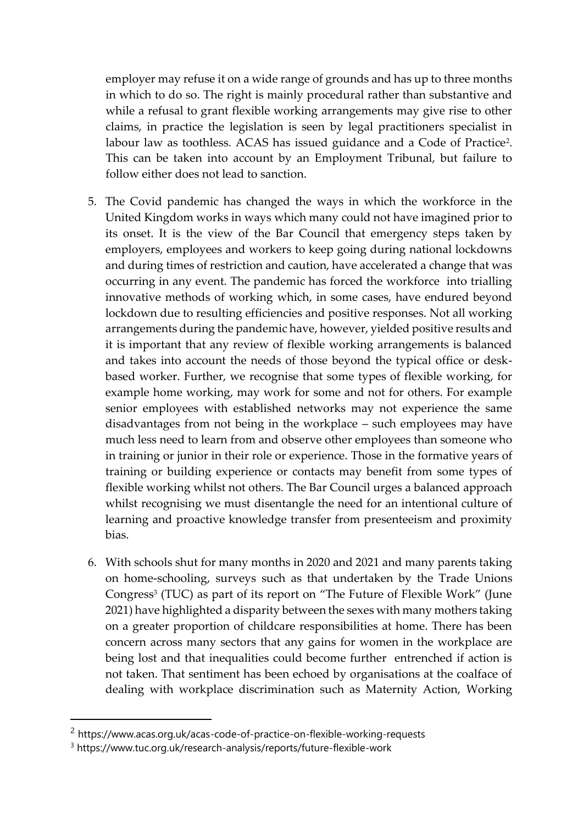employer may refuse it on a wide range of grounds and has up to three months in which to do so. The right is mainly procedural rather than substantive and while a refusal to grant flexible working arrangements may give rise to other claims, in practice the legislation is seen by legal practitioners specialist in labour law as toothless. ACAS has issued guidance and a Code of Practice<sup>2</sup>. This can be taken into account by an Employment Tribunal, but failure to follow either does not lead to sanction.

- 5. The Covid pandemic has changed the ways in which the workforce in the United Kingdom works in ways which many could not have imagined prior to its onset. It is the view of the Bar Council that emergency steps taken by employers, employees and workers to keep going during national lockdowns and during times of restriction and caution, have accelerated a change that was occurring in any event. The pandemic has forced the workforce into trialling innovative methods of working which, in some cases, have endured beyond lockdown due to resulting efficiencies and positive responses. Not all working arrangements during the pandemic have, however, yielded positive results and it is important that any review of flexible working arrangements is balanced and takes into account the needs of those beyond the typical office or deskbased worker. Further, we recognise that some types of flexible working, for example home working, may work for some and not for others. For example senior employees with established networks may not experience the same disadvantages from not being in the workplace – such employees may have much less need to learn from and observe other employees than someone who in training or junior in their role or experience. Those in the formative years of training or building experience or contacts may benefit from some types of flexible working whilst not others. The Bar Council urges a balanced approach whilst recognising we must disentangle the need for an intentional culture of learning and proactive knowledge transfer from presenteeism and proximity bias.
- 6. With schools shut for many months in 2020 and 2021 and many parents taking on home-schooling, surveys such as that undertaken by the Trade Unions Congress<sup>3</sup> (TUC) as part of its report on "The Future of Flexible Work" (June 2021) have highlighted a disparity between the sexes with many mothers taking on a greater proportion of childcare responsibilities at home. There has been concern across many sectors that any gains for women in the workplace are being lost and that inequalities could become further entrenched if action is not taken. That sentiment has been echoed by organisations at the coalface of dealing with workplace discrimination such as Maternity Action, Working

<sup>&</sup>lt;sup>2</sup> https://www.acas.org.uk/acas-code-of-practice-on-flexible-working-requests

<sup>3</sup> https://www.tuc.org.uk/research-analysis/reports/future-flexible-work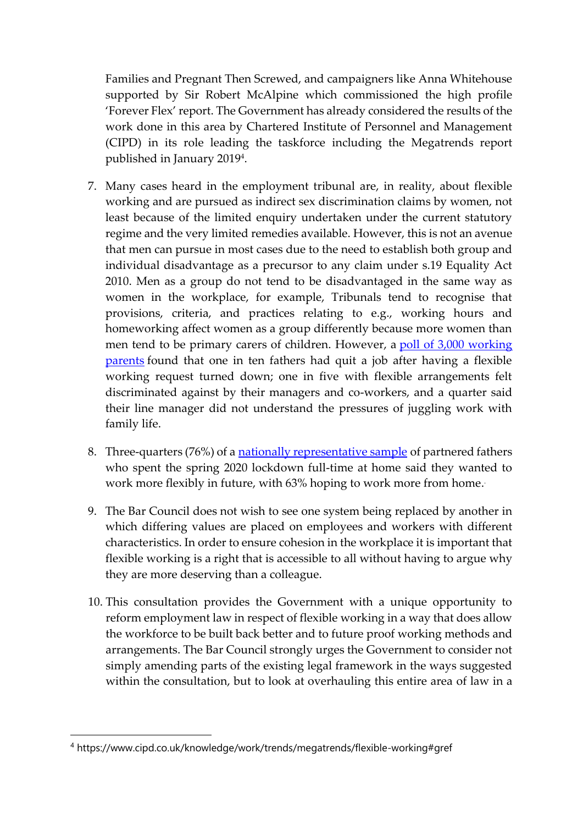Families and Pregnant Then Screwed, and campaigners like Anna Whitehouse supported by Sir Robert McAlpine which commissioned the high profile 'Forever Flex' report. The Government has already considered the results of the work done in this area by Chartered Institute of Personnel and Management (CIPD) in its role leading the taskforce including the Megatrends report published in January 2019<sup>4</sup> .

- 7. Many cases heard in the employment tribunal are, in reality, about flexible working and are pursued as indirect sex discrimination claims by women, not least because of the limited enquiry undertaken under the current statutory regime and the very limited remedies available. However, this is not an avenue that men can pursue in most cases due to the need to establish both group and individual disadvantage as a precursor to any claim under s.19 Equality Act 2010. Men as a group do not tend to be disadvantaged in the same way as women in the workplace, for example, Tribunals tend to recognise that provisions, criteria, and practices relating to e.g., working hours and homeworking affect women as a group differently because more women than men tend to be primary carers of children. However, a [poll of 3,000 working](https://protect-eu.mimecast.com/s/K5ftCyP8jUrLq4xuM4OB7)  [parents](https://protect-eu.mimecast.com/s/K5ftCyP8jUrLq4xuM4OB7) found that one in ten fathers had quit a job after having a flexible working request turned down; one in five with flexible arrangements felt discriminated against by their managers and co-workers, and a quarter said their line manager did not understand the pressures of juggling work with family life.
- 8. Three-quarters (76%) of a [nationally representative sample](https://protect-eu.mimecast.com/s/SAkrCxkGgF1xnXYS8N73I) of partnered fathers who spent the spring 2020 lockdown full-time at home said they wanted to work more flexibly in future, with 63% hoping to work more from home. .
- 9. The Bar Council does not wish to see one system being replaced by another in which differing values are placed on employees and workers with different characteristics. In order to ensure cohesion in the workplace it is important that flexible working is a right that is accessible to all without having to argue why they are more deserving than a colleague.
- 10. This consultation provides the Government with a unique opportunity to reform employment law in respect of flexible working in a way that does allow the workforce to be built back better and to future proof working methods and arrangements. The Bar Council strongly urges the Government to consider not simply amending parts of the existing legal framework in the ways suggested within the consultation, but to look at overhauling this entire area of law in a

<sup>4</sup> https://www.cipd.co.uk/knowledge/work/trends/megatrends/flexible-working#gref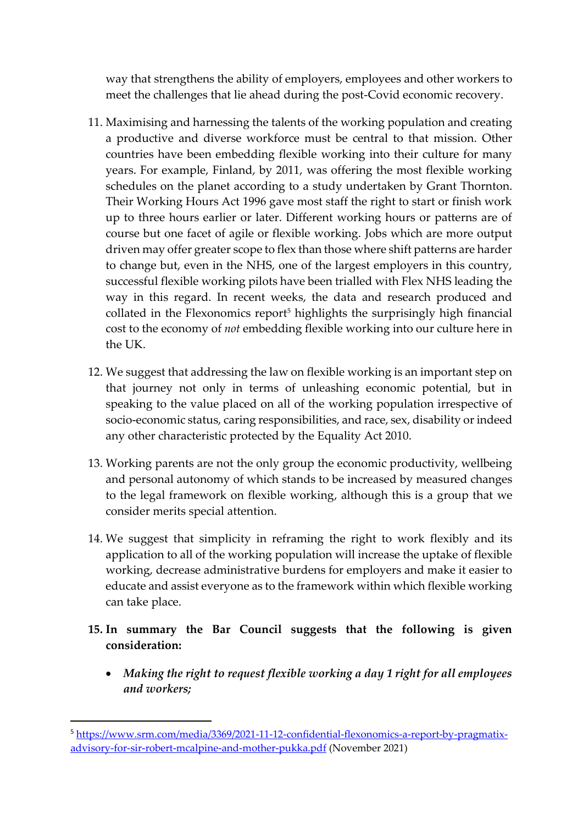way that strengthens the ability of employers, employees and other workers to meet the challenges that lie ahead during the post-Covid economic recovery.

- 11. Maximising and harnessing the talents of the working population and creating a productive and diverse workforce must be central to that mission. Other countries have been embedding flexible working into their culture for many years. For example, Finland, by 2011, was offering the most flexible working schedules on the planet according to a study undertaken by Grant Thornton. Their Working Hours Act 1996 gave most staff the right to start or finish work up to three hours earlier or later. Different working hours or patterns are of course but one facet of agile or flexible working. Jobs which are more output driven may offer greater scope to flex than those where shift patterns are harder to change but, even in the NHS, one of the largest employers in this country, successful flexible working pilots have been trialled with Flex NHS leading the way in this regard. In recent weeks, the data and research produced and collated in the Flexonomics report<sup>5</sup> highlights the surprisingly high financial cost to the economy of *not* embedding flexible working into our culture here in the UK.
- 12. We suggest that addressing the law on flexible working is an important step on that journey not only in terms of unleashing economic potential, but in speaking to the value placed on all of the working population irrespective of socio-economic status, caring responsibilities, and race, sex, disability or indeed any other characteristic protected by the Equality Act 2010.
- 13. Working parents are not the only group the economic productivity, wellbeing and personal autonomy of which stands to be increased by measured changes to the legal framework on flexible working, although this is a group that we consider merits special attention.
- 14. We suggest that simplicity in reframing the right to work flexibly and its application to all of the working population will increase the uptake of flexible working, decrease administrative burdens for employers and make it easier to educate and assist everyone as to the framework within which flexible working can take place.
- **15. In summary the Bar Council suggests that the following is given consideration:**
	- *Making the right to request flexible working a day 1 right for all employees and workers;*

<sup>5</sup> [https://www.srm.com/media/3369/2021-11-12-confidential-flexonomics-a-report-by-pragmatix](https://www.srm.com/media/3369/2021-11-12-confidential-flexonomics-a-report-by-pragmatix-advisory-for-sir-robert-mcalpine-and-mother-pukka.pdf)[advisory-for-sir-robert-mcalpine-and-mother-pukka.pdf](https://www.srm.com/media/3369/2021-11-12-confidential-flexonomics-a-report-by-pragmatix-advisory-for-sir-robert-mcalpine-and-mother-pukka.pdf) (November 2021)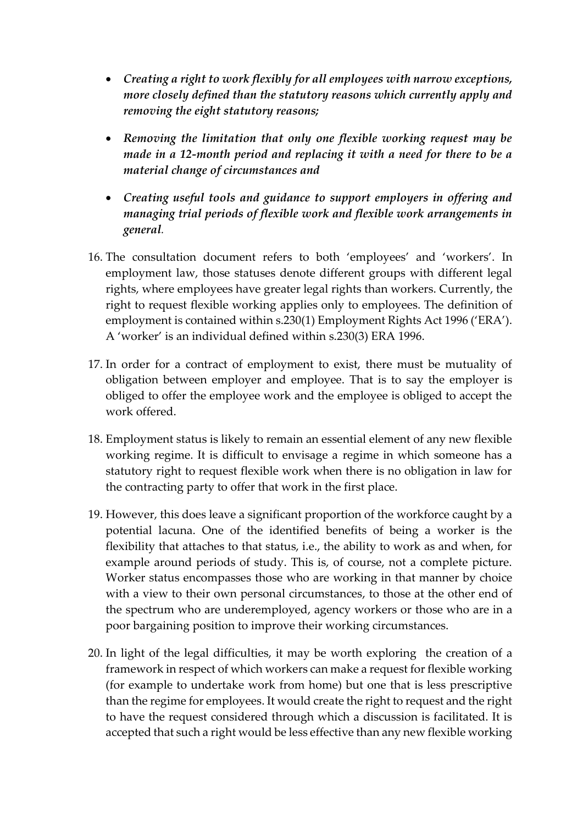- *Creating a right to work flexibly for all employees with narrow exceptions, more closely defined than the statutory reasons which currently apply and removing the eight statutory reasons;*
- *Removing the limitation that only one flexible working request may be made in a 12-month period and replacing it with a need for there to be a material change of circumstances and*
- *Creating useful tools and guidance to support employers in offering and managing trial periods of flexible work and flexible work arrangements in general.*
- 16. The consultation document refers to both 'employees' and 'workers'. In employment law, those statuses denote different groups with different legal rights, where employees have greater legal rights than workers. Currently, the right to request flexible working applies only to employees. The definition of employment is contained within s.230(1) Employment Rights Act 1996 ('ERA'). A 'worker' is an individual defined within s.230(3) ERA 1996.
- 17. In order for a contract of employment to exist, there must be mutuality of obligation between employer and employee. That is to say the employer is obliged to offer the employee work and the employee is obliged to accept the work offered.
- 18. Employment status is likely to remain an essential element of any new flexible working regime. It is difficult to envisage a regime in which someone has a statutory right to request flexible work when there is no obligation in law for the contracting party to offer that work in the first place.
- 19. However, this does leave a significant proportion of the workforce caught by a potential lacuna. One of the identified benefits of being a worker is the flexibility that attaches to that status, i.e., the ability to work as and when, for example around periods of study. This is, of course, not a complete picture. Worker status encompasses those who are working in that manner by choice with a view to their own personal circumstances, to those at the other end of the spectrum who are underemployed, agency workers or those who are in a poor bargaining position to improve their working circumstances.
- 20. In light of the legal difficulties, it may be worth exploring the creation of a framework in respect of which workers can make a request for flexible working (for example to undertake work from home) but one that is less prescriptive than the regime for employees. It would create the right to request and the right to have the request considered through which a discussion is facilitated. It is accepted that such a right would be less effective than any new flexible working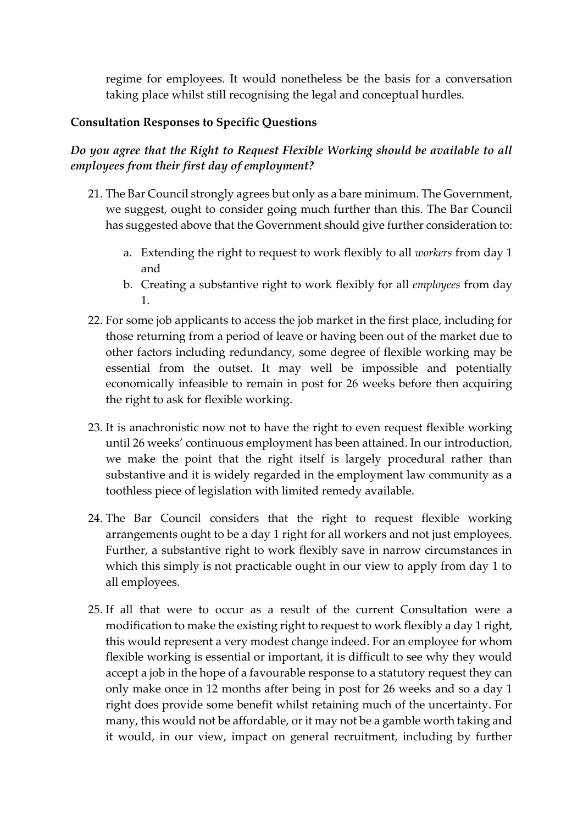regime for employees. It would nonetheless be the basis for a conversation taking place whilst still recognising the legal and conceptual hurdles.

### **Consultation Responses to Specific Questions**

*Do you agree that the Right to Request Flexible Working should be available to all employees from their first day of employment?*

- 21. The Bar Council strongly agrees but only as a bare minimum. The Government, we suggest, ought to consider going much further than this. The Bar Council has suggested above that the Government should give further consideration to:
	- a. Extending the right to request to work flexibly to all *workers* from day 1 and
	- b. Creating a substantive right to work flexibly for all *employees* from day 1.
- 22. For some job applicants to access the job market in the first place, including for those returning from a period of leave or having been out of the market due to other factors including redundancy, some degree of flexible working may be essential from the outset. It may well be impossible and potentially economically infeasible to remain in post for 26 weeks before then acquiring the right to ask for flexible working.
- 23. It is anachronistic now not to have the right to even request flexible working until 26 weeks' continuous employment has been attained. In our introduction, we make the point that the right itself is largely procedural rather than substantive and it is widely regarded in the employment law community as a toothless piece of legislation with limited remedy available.
- 24. The Bar Council considers that the right to request flexible working arrangements ought to be a day 1 right for all workers and not just employees. Further, a substantive right to work flexibly save in narrow circumstances in which this simply is not practicable ought in our view to apply from day 1 to all employees.
- 25. If all that were to occur as a result of the current Consultation were a modification to make the existing right to request to work flexibly a day 1 right, this would represent a very modest change indeed. For an employee for whom flexible working is essential or important, it is difficult to see why they would accept a job in the hope of a favourable response to a statutory request they can only make once in 12 months after being in post for 26 weeks and so a day 1 right does provide some benefit whilst retaining much of the uncertainty. For many, this would not be affordable, or it may not be a gamble worth taking and it would, in our view, impact on general recruitment, including by further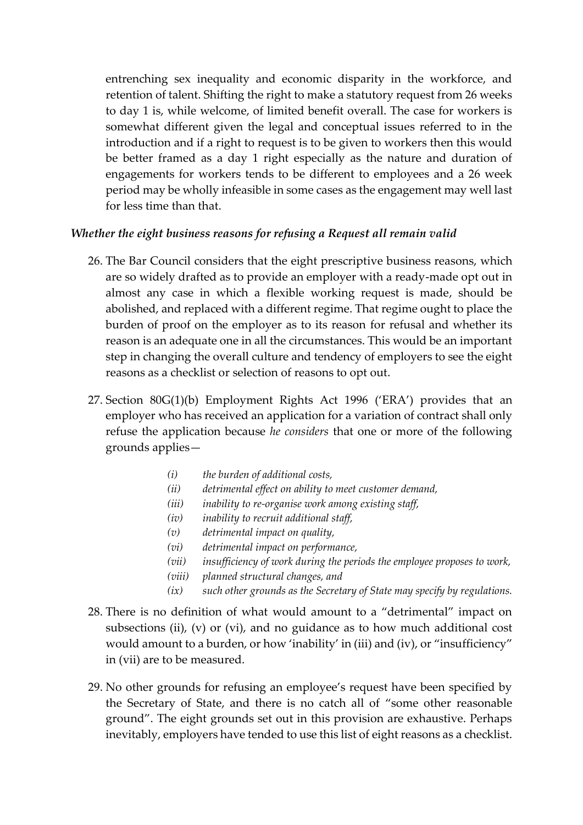entrenching sex inequality and economic disparity in the workforce, and retention of talent. Shifting the right to make a statutory request from 26 weeks to day 1 is, while welcome, of limited benefit overall. The case for workers is somewhat different given the legal and conceptual issues referred to in the introduction and if a right to request is to be given to workers then this would be better framed as a day 1 right especially as the nature and duration of engagements for workers tends to be different to employees and a 26 week period may be wholly infeasible in some cases as the engagement may well last for less time than that.

#### *Whether the eight business reasons for refusing a Request all remain valid*

- 26. The Bar Council considers that the eight prescriptive business reasons, which are so widely drafted as to provide an employer with a ready-made opt out in almost any case in which a flexible working request is made, should be abolished, and replaced with a different regime. That regime ought to place the burden of proof on the employer as to its reason for refusal and whether its reason is an adequate one in all the circumstances. This would be an important step in changing the overall culture and tendency of employers to see the eight reasons as a checklist or selection of reasons to opt out.
- 27. Section 80G(1)(b) Employment Rights Act 1996 ('ERA') provides that an employer who has received an application for a variation of contract shall only refuse the application because *he considers* that one or more of the following grounds applies—
	- *(i) the burden of additional costs,*
	- *(ii) detrimental effect on ability to meet customer demand,*
	- *(iii) inability to re-organise work among existing staff,*
	- *(iv) inability to recruit additional staff,*
	- *(v) detrimental impact on quality,*
	- *(vi) detrimental impact on performance,*
	- *(vii) insufficiency of work during the periods the employee proposes to work,*
	- *(viii) planned structural changes, and*
	- *(ix) such other grounds as the Secretary of State may specify by regulations.*
- 28. There is no definition of what would amount to a "detrimental" impact on subsections (ii), (v) or (vi), and no guidance as to how much additional cost would amount to a burden, or how 'inability' in (iii) and (iv), or "insufficiency" in (vii) are to be measured.
- 29. No other grounds for refusing an employee's request have been specified by the Secretary of State, and there is no catch all of "some other reasonable ground". The eight grounds set out in this provision are exhaustive. Perhaps inevitably, employers have tended to use this list of eight reasons as a checklist.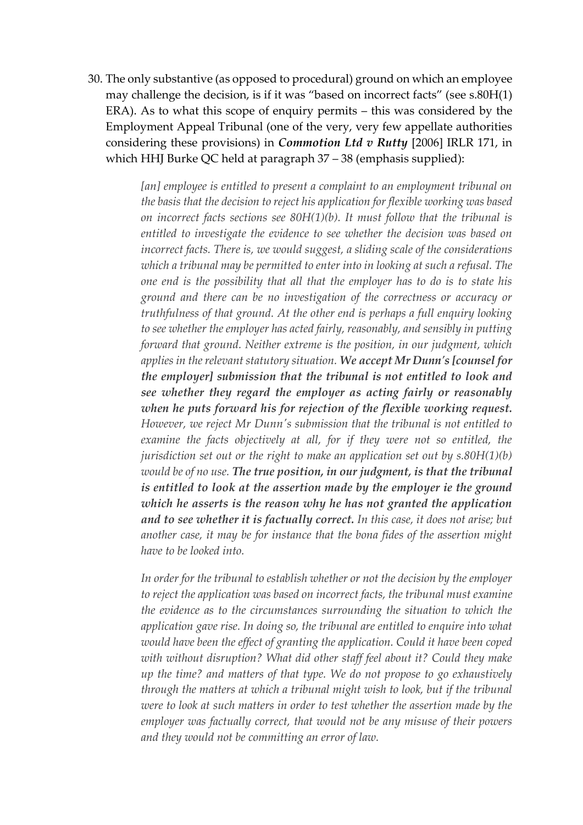30. The only substantive (as opposed to procedural) ground on which an employee may challenge the decision, is if it was "based on incorrect facts" (see s.80H(1) ERA). As to what this scope of enquiry permits – this was considered by the Employment Appeal Tribunal (one of the very, very few appellate authorities considering these provisions) in *Commotion Ltd v Rutty* [2006] IRLR 171, in which HHJ Burke QC held at paragraph 37 – 38 (emphasis supplied):

> *[an] employee is entitled to present a complaint to an employment tribunal on the basis that the decision to reject his application for flexible working was based on incorrect facts sections see 80H(1)(b). It must follow that the tribunal is entitled to investigate the evidence to see whether the decision was based on incorrect facts. There is, we would suggest, a sliding scale of the considerations which a tribunal may be permitted to enter into in looking at such a refusal. The one end is the possibility that all that the employer has to do is to state his ground and there can be no investigation of the correctness or accuracy or truthfulness of that ground. At the other end is perhaps a full enquiry looking to see whether the employer has acted fairly, reasonably, and sensibly in putting forward that ground. Neither extreme is the position, in our judgment, which applies in the relevant statutory situation. We accept Mr Dunn's [counsel for the employer] submission that the tribunal is not entitled to look and see whether they regard the employer as acting fairly or reasonably when he puts forward his for rejection of the flexible working request. However, we reject Mr Dunn's submission that the tribunal is not entitled to examine the facts objectively at all, for if they were not so entitled, the jurisdiction set out or the right to make an application set out by s.80H(1)(b) would be of no use. The true position, in our judgment, is that the tribunal is entitled to look at the assertion made by the employer ie the ground which he asserts is the reason why he has not granted the application and to see whether it is factually correct. In this case, it does not arise; but another case, it may be for instance that the bona fides of the assertion might have to be looked into.*

> *In order for the tribunal to establish whether or not the decision by the employer to reject the application was based on incorrect facts, the tribunal must examine the evidence as to the circumstances surrounding the situation to which the application gave rise. In doing so, the tribunal are entitled to enquire into what would have been the effect of granting the application. Could it have been coped with without disruption? What did other staff feel about it? Could they make up the time? and matters of that type. We do not propose to go exhaustively through the matters at which a tribunal might wish to look, but if the tribunal were to look at such matters in order to test whether the assertion made by the employer was factually correct, that would not be any misuse of their powers and they would not be committing an error of law.*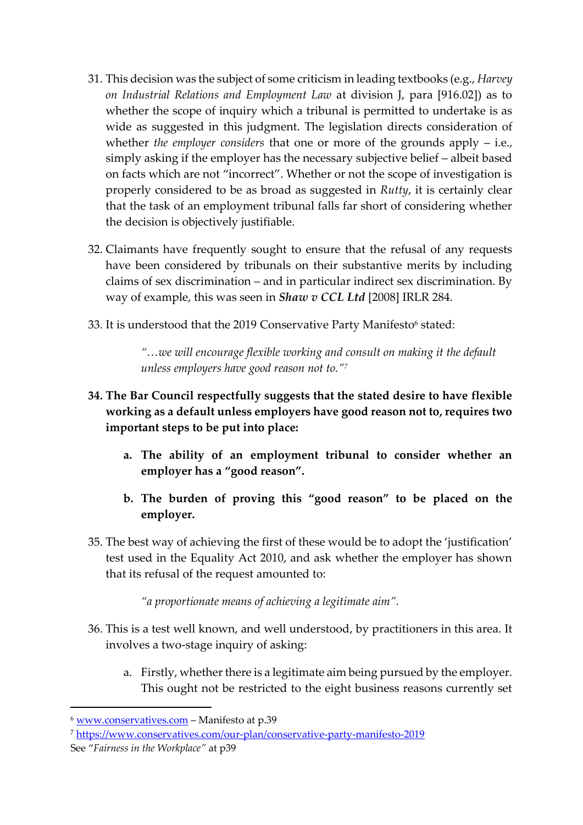- 31. This decision was the subject of some criticism in leading textbooks (e.g., *Harvey on Industrial Relations and Employment Law* at division J, para [916.02]) as to whether the scope of inquiry which a tribunal is permitted to undertake is as wide as suggested in this judgment. The legislation directs consideration of whether *the employer considers* that one or more of the grounds apply – i.e., simply asking if the employer has the necessary subjective belief – albeit based on facts which are not "incorrect". Whether or not the scope of investigation is properly considered to be as broad as suggested in *Rutty*, it is certainly clear that the task of an employment tribunal falls far short of considering whether the decision is objectively justifiable.
- 32. Claimants have frequently sought to ensure that the refusal of any requests have been considered by tribunals on their substantive merits by including claims of sex discrimination – and in particular indirect sex discrimination. By way of example, this was seen in *Shaw v CCL Ltd* [2008] IRLR 284.
- 33. It is understood that the 2019 Conservative Party Manifesto $^{\rm 6}$  stated:

*"…we will encourage flexible working and consult on making it the default unless employers have good reason not to."<sup>7</sup>*

- **34. The Bar Council respectfully suggests that the stated desire to have flexible working as a default unless employers have good reason not to, requires two important steps to be put into place:** 
	- **a. The ability of an employment tribunal to consider whether an employer has a "good reason".**
	- **b. The burden of proving this "good reason" to be placed on the employer.**
- 35. The best way of achieving the first of these would be to adopt the 'justification' test used in the Equality Act 2010, and ask whether the employer has shown that its refusal of the request amounted to:

*"a proportionate means of achieving a legitimate aim".*

- 36. This is a test well known, and well understood, by practitioners in this area. It involves a two-stage inquiry of asking:
	- a. Firstly, whether there is a legitimate aim being pursued by the employer. This ought not be restricted to the eight business reasons currently set

<sup>6</sup> [www.conservatives.com](http://www.conservatives.com/) – Manifesto at p.39

<sup>7</sup> <https://www.conservatives.com/our-plan/conservative-party-manifesto-2019>

See "*Fairness in the Workplace"* at p39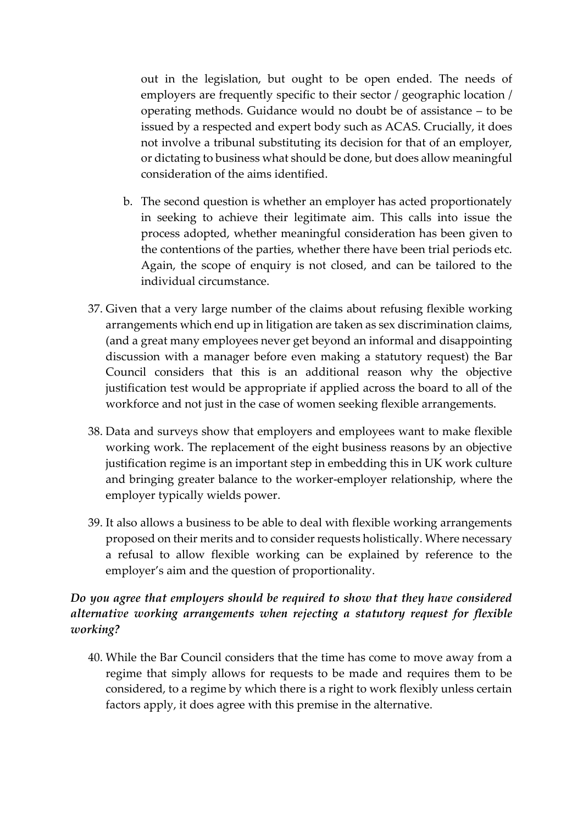out in the legislation, but ought to be open ended. The needs of employers are frequently specific to their sector / geographic location / operating methods. Guidance would no doubt be of assistance – to be issued by a respected and expert body such as ACAS. Crucially, it does not involve a tribunal substituting its decision for that of an employer, or dictating to business what should be done, but does allow meaningful consideration of the aims identified.

- b. The second question is whether an employer has acted proportionately in seeking to achieve their legitimate aim. This calls into issue the process adopted, whether meaningful consideration has been given to the contentions of the parties, whether there have been trial periods etc. Again, the scope of enquiry is not closed, and can be tailored to the individual circumstance.
- 37. Given that a very large number of the claims about refusing flexible working arrangements which end up in litigation are taken as sex discrimination claims, (and a great many employees never get beyond an informal and disappointing discussion with a manager before even making a statutory request) the Bar Council considers that this is an additional reason why the objective justification test would be appropriate if applied across the board to all of the workforce and not just in the case of women seeking flexible arrangements.
- 38. Data and surveys show that employers and employees want to make flexible working work. The replacement of the eight business reasons by an objective justification regime is an important step in embedding this in UK work culture and bringing greater balance to the worker-employer relationship, where the employer typically wields power.
- 39. It also allows a business to be able to deal with flexible working arrangements proposed on their merits and to consider requests holistically. Where necessary a refusal to allow flexible working can be explained by reference to the employer's aim and the question of proportionality.

## *Do you agree that employers should be required to show that they have considered alternative working arrangements when rejecting a statutory request for flexible working?*

40. While the Bar Council considers that the time has come to move away from a regime that simply allows for requests to be made and requires them to be considered, to a regime by which there is a right to work flexibly unless certain factors apply, it does agree with this premise in the alternative.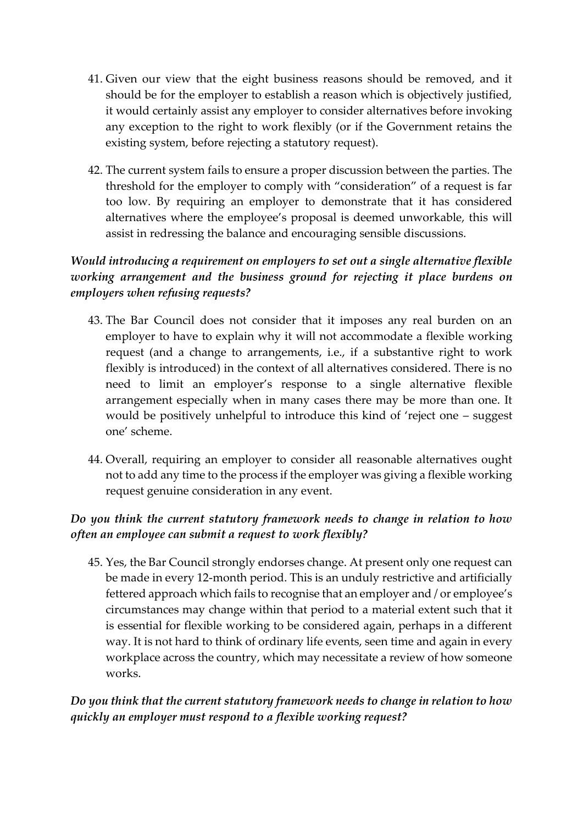- 41. Given our view that the eight business reasons should be removed, and it should be for the employer to establish a reason which is objectively justified, it would certainly assist any employer to consider alternatives before invoking any exception to the right to work flexibly (or if the Government retains the existing system, before rejecting a statutory request).
- 42. The current system fails to ensure a proper discussion between the parties. The threshold for the employer to comply with "consideration" of a request is far too low. By requiring an employer to demonstrate that it has considered alternatives where the employee's proposal is deemed unworkable, this will assist in redressing the balance and encouraging sensible discussions.

## *Would introducing a requirement on employers to set out a single alternative flexible working arrangement and the business ground for rejecting it place burdens on employers when refusing requests?*

- 43. The Bar Council does not consider that it imposes any real burden on an employer to have to explain why it will not accommodate a flexible working request (and a change to arrangements, i.e., if a substantive right to work flexibly is introduced) in the context of all alternatives considered. There is no need to limit an employer's response to a single alternative flexible arrangement especially when in many cases there may be more than one. It would be positively unhelpful to introduce this kind of 'reject one – suggest one' scheme.
- 44. Overall, requiring an employer to consider all reasonable alternatives ought not to add any time to the process if the employer was giving a flexible working request genuine consideration in any event.

# *Do you think the current statutory framework needs to change in relation to how often an employee can submit a request to work flexibly?*

45. Yes, the Bar Council strongly endorses change. At present only one request can be made in every 12-month period. This is an unduly restrictive and artificially fettered approach which fails to recognise that an employer and / or employee's circumstances may change within that period to a material extent such that it is essential for flexible working to be considered again, perhaps in a different way. It is not hard to think of ordinary life events, seen time and again in every workplace across the country, which may necessitate a review of how someone works.

## *Do you think that the current statutory framework needs to change in relation to how quickly an employer must respond to a flexible working request?*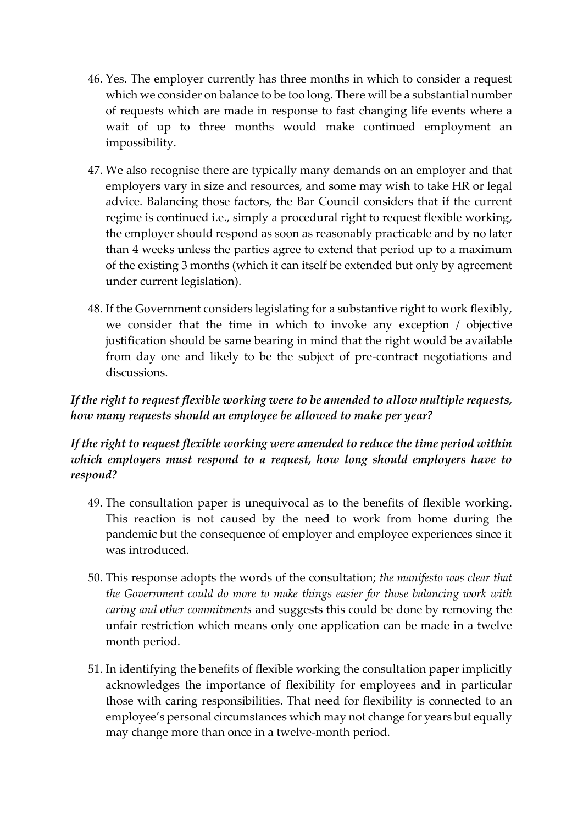- 46. Yes. The employer currently has three months in which to consider a request which we consider on balance to be too long. There will be a substantial number of requests which are made in response to fast changing life events where a wait of up to three months would make continued employment an impossibility.
- 47. We also recognise there are typically many demands on an employer and that employers vary in size and resources, and some may wish to take HR or legal advice. Balancing those factors, the Bar Council considers that if the current regime is continued i.e., simply a procedural right to request flexible working, the employer should respond as soon as reasonably practicable and by no later than 4 weeks unless the parties agree to extend that period up to a maximum of the existing 3 months (which it can itself be extended but only by agreement under current legislation).
- 48. If the Government considers legislating for a substantive right to work flexibly, we consider that the time in which to invoke any exception / objective justification should be same bearing in mind that the right would be available from day one and likely to be the subject of pre-contract negotiations and discussions.

## *If the right to request flexible working were to be amended to allow multiple requests, how many requests should an employee be allowed to make per year?*

*If the right to request flexible working were amended to reduce the time period within which employers must respond to a request, how long should employers have to respond?*

- 49. The consultation paper is unequivocal as to the benefits of flexible working. This reaction is not caused by the need to work from home during the pandemic but the consequence of employer and employee experiences since it was introduced.
- 50. This response adopts the words of the consultation; *the manifesto was clear that the Government could do more to make things easier for those balancing work with caring and other commitments* and suggests this could be done by removing the unfair restriction which means only one application can be made in a twelve month period.
- 51. In identifying the benefits of flexible working the consultation paper implicitly acknowledges the importance of flexibility for employees and in particular those with caring responsibilities. That need for flexibility is connected to an employee's personal circumstances which may not change for years but equally may change more than once in a twelve-month period.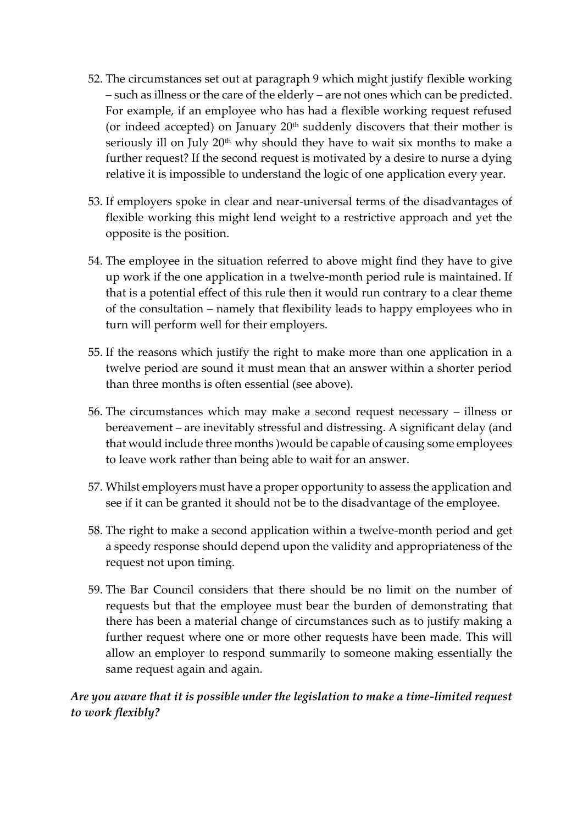- 52. The circumstances set out at paragraph 9 which might justify flexible working – such as illness or the care of the elderly – are not ones which can be predicted. For example, if an employee who has had a flexible working request refused (or indeed accepted) on January  $20<sup>th</sup>$  suddenly discovers that their mother is seriously ill on July  $20<sup>th</sup>$  why should they have to wait six months to make a further request? If the second request is motivated by a desire to nurse a dying relative it is impossible to understand the logic of one application every year.
- 53. If employers spoke in clear and near-universal terms of the disadvantages of flexible working this might lend weight to a restrictive approach and yet the opposite is the position.
- 54. The employee in the situation referred to above might find they have to give up work if the one application in a twelve-month period rule is maintained. If that is a potential effect of this rule then it would run contrary to a clear theme of the consultation – namely that flexibility leads to happy employees who in turn will perform well for their employers.
- 55. If the reasons which justify the right to make more than one application in a twelve period are sound it must mean that an answer within a shorter period than three months is often essential (see above).
- 56. The circumstances which may make a second request necessary illness or bereavement – are inevitably stressful and distressing. A significant delay (and that would include three months )would be capable of causing some employees to leave work rather than being able to wait for an answer.
- 57. Whilst employers must have a proper opportunity to assess the application and see if it can be granted it should not be to the disadvantage of the employee.
- 58. The right to make a second application within a twelve-month period and get a speedy response should depend upon the validity and appropriateness of the request not upon timing.
- 59. The Bar Council considers that there should be no limit on the number of requests but that the employee must bear the burden of demonstrating that there has been a material change of circumstances such as to justify making a further request where one or more other requests have been made. This will allow an employer to respond summarily to someone making essentially the same request again and again.

## *Are you aware that it is possible under the legislation to make a time-limited request to work flexibly?*